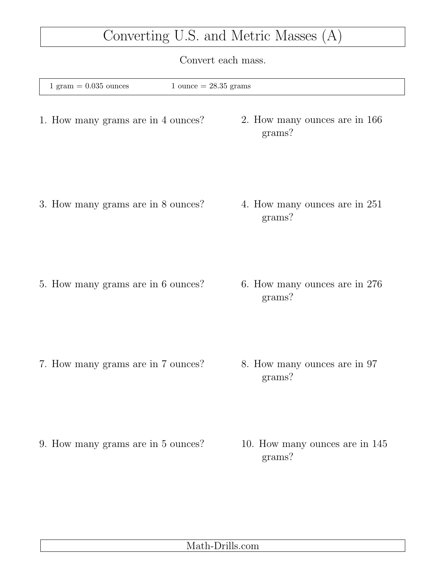## Converting U.S. and Metric Masses (A)

Convert each mass.

| $1 \text{ gram} = 0.035 \text{ ounces}$ | $1$ ounce $= 28.35$ grams |                                          |
|-----------------------------------------|---------------------------|------------------------------------------|
| 1. How many grams are in 4 ounces?      |                           | 2. How many ounces are in 166<br>grams?  |
| 3. How many grams are in 8 ounces?      |                           | 4. How many ounces are in 251<br>grams?  |
| 5. How many grams are in 6 ounces?      |                           | 6. How many ounces are in 276<br>grams?  |
| 7. How many grams are in 7 ounces?      |                           | 8. How many ounces are in 97<br>grams?   |
| 9. How many grams are in 5 ounces?      |                           | 10. How many ounces are in 145<br>grams? |